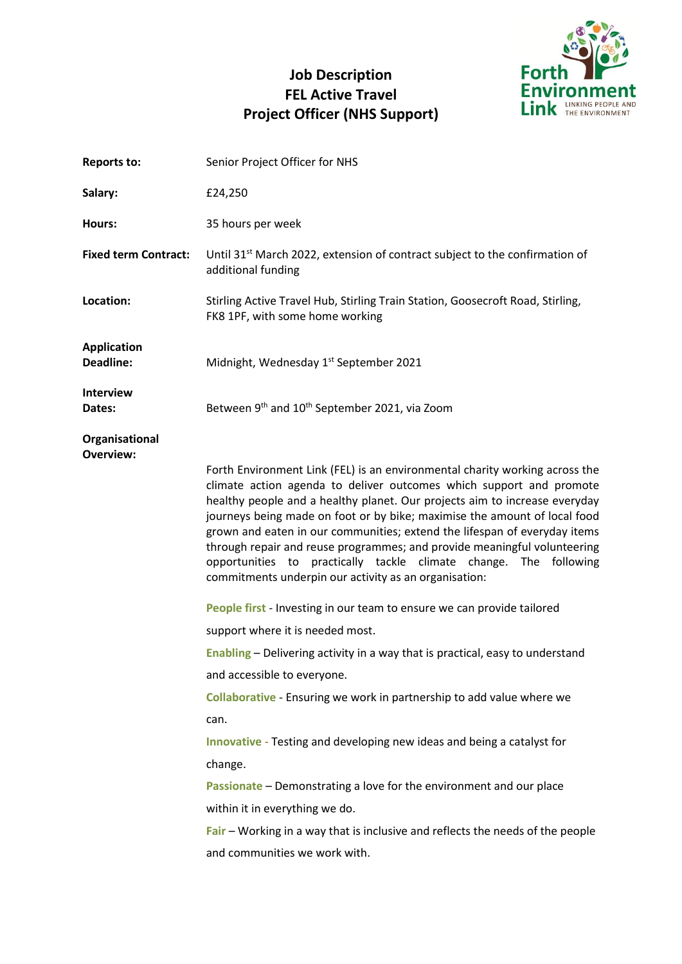# **Job Description FEL Active Travel Project Officer (NHS Support)**



| <b>Reports to:</b>                     | Senior Project Officer for NHS                                                                                                                                                                                                                                                                                                                                                                                                                                                                                                                                                                                                                                                                                                                                                                                                                                                                                                                                                                                                                                                                                                                                                                                                                |
|----------------------------------------|-----------------------------------------------------------------------------------------------------------------------------------------------------------------------------------------------------------------------------------------------------------------------------------------------------------------------------------------------------------------------------------------------------------------------------------------------------------------------------------------------------------------------------------------------------------------------------------------------------------------------------------------------------------------------------------------------------------------------------------------------------------------------------------------------------------------------------------------------------------------------------------------------------------------------------------------------------------------------------------------------------------------------------------------------------------------------------------------------------------------------------------------------------------------------------------------------------------------------------------------------|
| Salary:                                | £24,250                                                                                                                                                                                                                                                                                                                                                                                                                                                                                                                                                                                                                                                                                                                                                                                                                                                                                                                                                                                                                                                                                                                                                                                                                                       |
| Hours:                                 | 35 hours per week                                                                                                                                                                                                                                                                                                                                                                                                                                                                                                                                                                                                                                                                                                                                                                                                                                                                                                                                                                                                                                                                                                                                                                                                                             |
| <b>Fixed term Contract:</b>            | Until 31 <sup>st</sup> March 2022, extension of contract subject to the confirmation of<br>additional funding                                                                                                                                                                                                                                                                                                                                                                                                                                                                                                                                                                                                                                                                                                                                                                                                                                                                                                                                                                                                                                                                                                                                 |
| Location:                              | Stirling Active Travel Hub, Stirling Train Station, Goosecroft Road, Stirling,<br>FK8 1PF, with some home working                                                                                                                                                                                                                                                                                                                                                                                                                                                                                                                                                                                                                                                                                                                                                                                                                                                                                                                                                                                                                                                                                                                             |
| <b>Application</b><br><b>Deadline:</b> | Midnight, Wednesday 1st September 2021                                                                                                                                                                                                                                                                                                                                                                                                                                                                                                                                                                                                                                                                                                                                                                                                                                                                                                                                                                                                                                                                                                                                                                                                        |
| <b>Interview</b><br>Dates:             | Between 9th and 10 <sup>th</sup> September 2021, via Zoom                                                                                                                                                                                                                                                                                                                                                                                                                                                                                                                                                                                                                                                                                                                                                                                                                                                                                                                                                                                                                                                                                                                                                                                     |
| Organisational<br>Overview:            | Forth Environment Link (FEL) is an environmental charity working across the<br>climate action agenda to deliver outcomes which support and promote<br>healthy people and a healthy planet. Our projects aim to increase everyday<br>journeys being made on foot or by bike; maximise the amount of local food<br>grown and eaten in our communities; extend the lifespan of everyday items<br>through repair and reuse programmes; and provide meaningful volunteering<br>opportunities to practically tackle climate change. The following<br>commitments underpin our activity as an organisation:<br>People first - Investing in our team to ensure we can provide tailored<br>support where it is needed most.<br>Enabling - Delivering activity in a way that is practical, easy to understand<br>and accessible to everyone.<br>Collaborative - Ensuring we work in partnership to add value where we<br>can.<br><b>Innovative</b> - Testing and developing new ideas and being a catalyst for<br>change.<br>Passionate - Demonstrating a love for the environment and our place<br>within it in everything we do.<br>$Fair$ – Working in a way that is inclusive and reflects the needs of the people<br>and communities we work with. |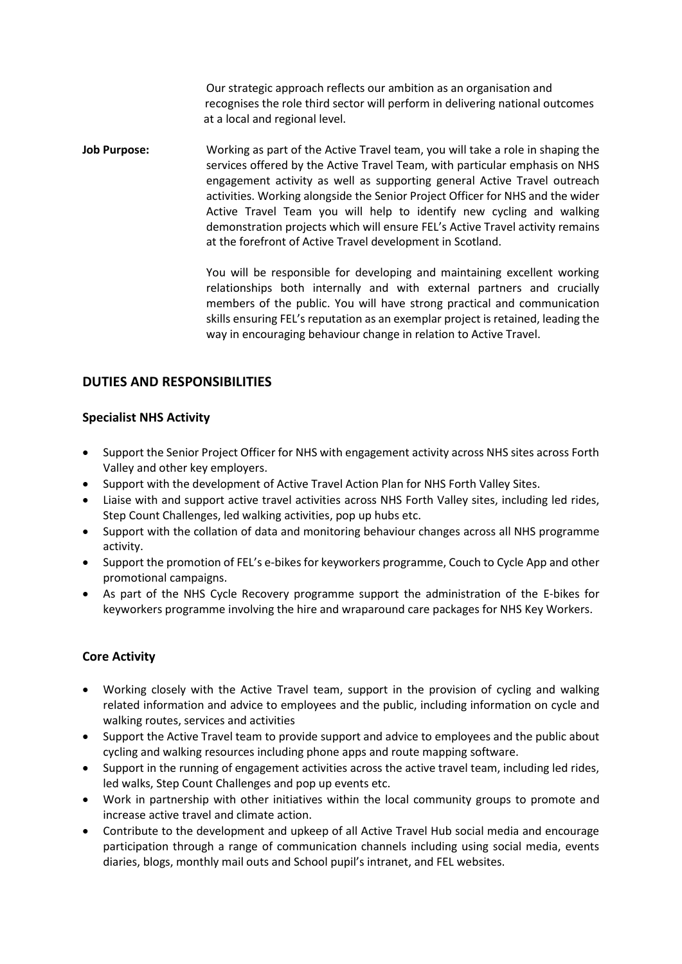Our strategic approach reflects our ambition as an organisation and recognises the role third sector will perform in delivering national outcomes at a local and regional level.

**Job Purpose:** Working as part of the Active Travel team, you will take a role in shaping the services offered by the Active Travel Team, with particular emphasis on NHS engagement activity as well as supporting general Active Travel outreach activities. Working alongside the Senior Project Officer for NHS and the wider Active Travel Team you will help to identify new cycling and walking demonstration projects which will ensure FEL's Active Travel activity remains at the forefront of Active Travel development in Scotland.

> You will be responsible for developing and maintaining excellent working relationships both internally and with external partners and crucially members of the public. You will have strong practical and communication skills ensuring FEL's reputation as an exemplar project is retained, leading the way in encouraging behaviour change in relation to Active Travel.

## **DUTIES AND RESPONSIBILITIES**

#### **Specialist NHS Activity**

- Support the Senior Project Officer for NHS with engagement activity across NHS sites across Forth Valley and other key employers.
- Support with the development of Active Travel Action Plan for NHS Forth Valley Sites.
- Liaise with and support active travel activities across NHS Forth Valley sites, including led rides, Step Count Challenges, led walking activities, pop up hubs etc.
- Support with the collation of data and monitoring behaviour changes across all NHS programme activity.
- Support the promotion of FEL's e-bikes for keyworkers programme, Couch to Cycle App and other promotional campaigns.
- As part of the NHS Cycle Recovery programme support the administration of the E-bikes for keyworkers programme involving the hire and wraparound care packages for NHS Key Workers.

#### **Core Activity**

- Working closely with the Active Travel team, support in the provision of cycling and walking related information and advice to employees and the public, including information on cycle and walking routes, services and activities
- Support the Active Travel team to provide support and advice to employees and the public about cycling and walking resources including phone apps and route mapping software.
- Support in the running of engagement activities across the active travel team, including led rides, led walks, Step Count Challenges and pop up events etc.
- Work in partnership with other initiatives within the local community groups to promote and increase active travel and climate action.
- Contribute to the development and upkeep of all Active Travel Hub social media and encourage participation through a range of communication channels including using social media, events diaries, blogs, monthly mail outs and School pupil's intranet, and FEL websites.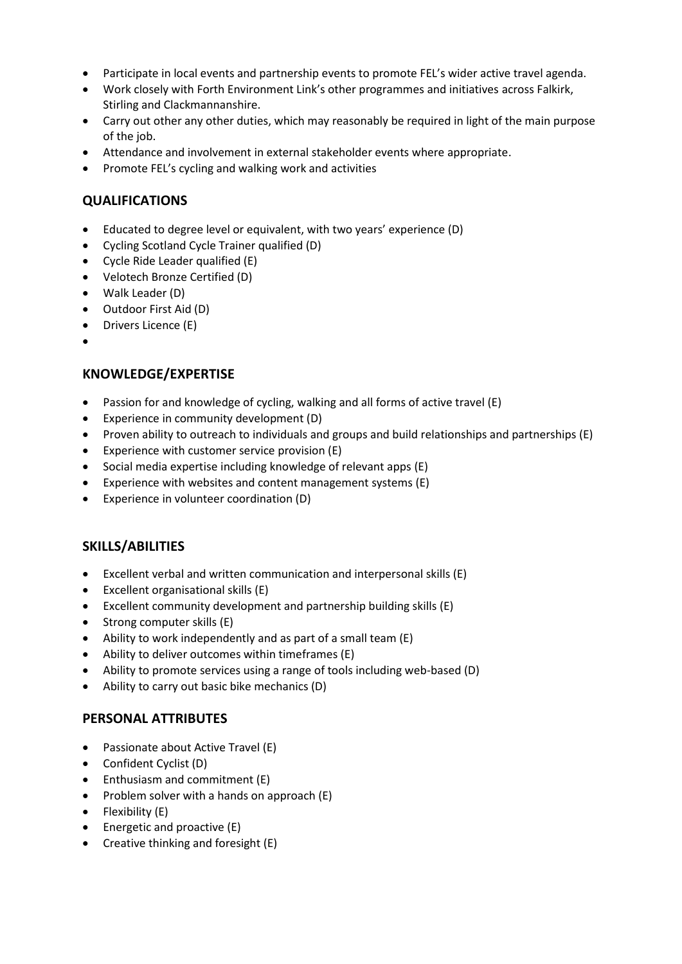- Participate in local events and partnership events to promote FEL's wider active travel agenda.
- Work closely with Forth Environment Link's other programmes and initiatives across Falkirk, Stirling and Clackmannanshire.
- Carry out other any other duties, which may reasonably be required in light of the main purpose of the job.
- Attendance and involvement in external stakeholder events where appropriate.
- Promote FEL's cycling and walking work and activities

## **QUALIFICATIONS**

- Educated to degree level or equivalent, with two years' experience (D)
- Cycling Scotland Cycle Trainer qualified (D)
- Cycle Ride Leader qualified (E)
- Velotech Bronze Certified (D)
- Walk Leader (D)
- Outdoor First Aid (D)
- Drivers Licence (E)
- •

## **KNOWLEDGE/EXPERTISE**

- Passion for and knowledge of cycling, walking and all forms of active travel (E)
- Experience in community development (D)
- Proven ability to outreach to individuals and groups and build relationships and partnerships (E)
- Experience with customer service provision (E)
- Social media expertise including knowledge of relevant apps (E)
- Experience with websites and content management systems (E)
- Experience in volunteer coordination (D)

## **SKILLS/ABILITIES**

- Excellent verbal and written communication and interpersonal skills (E)
- Excellent organisational skills (E)
- Excellent community development and partnership building skills (E)
- Strong computer skills (E)
- Ability to work independently and as part of a small team (E)
- Ability to deliver outcomes within timeframes (E)
- Ability to promote services using a range of tools including web-based (D)
- Ability to carry out basic bike mechanics (D)

## **PERSONAL ATTRIBUTES**

- Passionate about Active Travel (E)
- Confident Cyclist (D)
- Enthusiasm and commitment (E)
- Problem solver with a hands on approach (E)
- Flexibility (E)
- Energetic and proactive (E)
- Creative thinking and foresight (E)